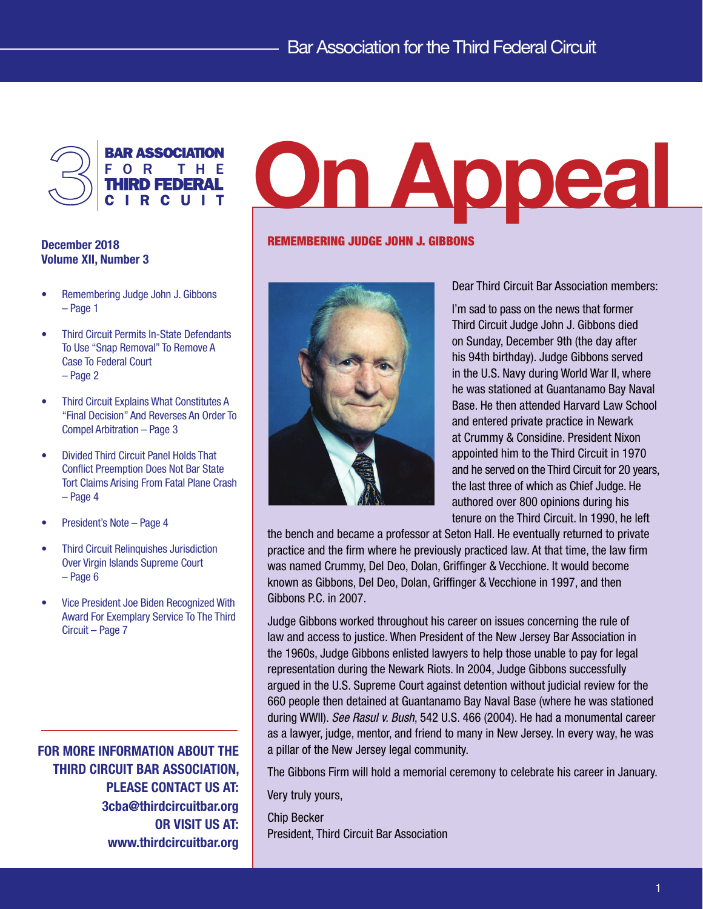

# December 2018 Volume XII, Number 3

- Remembering Judge John J. Gibbons – Page 1
- Third Circuit Permits In-State Defendants To Use "Snap Removal" To Remove A Case To Federal Court – Page 2
- Third Circuit Explains What Constitutes A "Final Decision" And Reverses An Order To Compel Arbitration – Page 3
- • Divided Third Circuit Panel Holds That Conflict Preemption Does Not Bar State Tort Claims Arising From Fatal Plane Crash – Page 4
- President's Note Page 4
- **Third Circuit Relinquishes Jurisdiction** Over Virgin Islands Supreme Court – Page 6
- Vice President Joe Biden Recognized With Award For Exemplary Service To The Third Circuit – Page 7

FOR MORE INFORMATION ABOUT THE THIRD CIRCUIT BAR ASSOCIATION, PLEASE CONTACT US AT: 3cba@thirdcircuitbar.org OR VISIT US AT: www.thirdcircuitbar.org

# On Appeal

## REMEMBERING JUDGE JOHN J. GIBBONS



Dear Third Circuit Bar Association members:

I'm sad to pass on the news that former Third Circuit Judge John J. Gibbons died on Sunday, December 9th (the day after his 94th birthday). Judge Gibbons served in the U.S. Navy during World War II, where he was stationed at Guantanamo Bay Naval Base. He then attended Harvard Law School and entered private practice in Newark at Crummy & Considine. President Nixon appointed him to the Third Circuit in 1970 and he served on the Third Circuit for 20 years, the last three of which as Chief Judge. He authored over 800 opinions during his tenure on the Third Circuit. In 1990, he left

the bench and became a professor at Seton Hall. He eventually returned to private practice and the firm where he previously practiced law. At that time, the law firm was named Crummy, Del Deo, Dolan, Griffinger & Vecchione. It would become known as Gibbons, Del Deo, Dolan, Griffinger & Vecchione in 1997, and then Gibbons P.C. in 2007.

Judge Gibbons worked throughout his career on issues concerning the rule of law and access to justice. When President of the New Jersey Bar Association in the 1960s, Judge Gibbons enlisted lawyers to help those unable to pay for legal representation during the Newark Riots. In 2004, Judge Gibbons successfully argued in the U.S. Supreme Court against detention without judicial review for the 660 people then detained at Guantanamo Bay Naval Base (where he was stationed during WWII). *See Rasul v. Bush*, 542 U.S. 466 (2004). He had a monumental career as a lawyer, judge, mentor, and friend to many in New Jersey. In every way, he was a pillar of the New Jersey legal community.

The Gibbons Firm will hold a memorial ceremony to celebrate his career in January.

Very truly yours,

Chip Becker President, Third Circuit Bar Association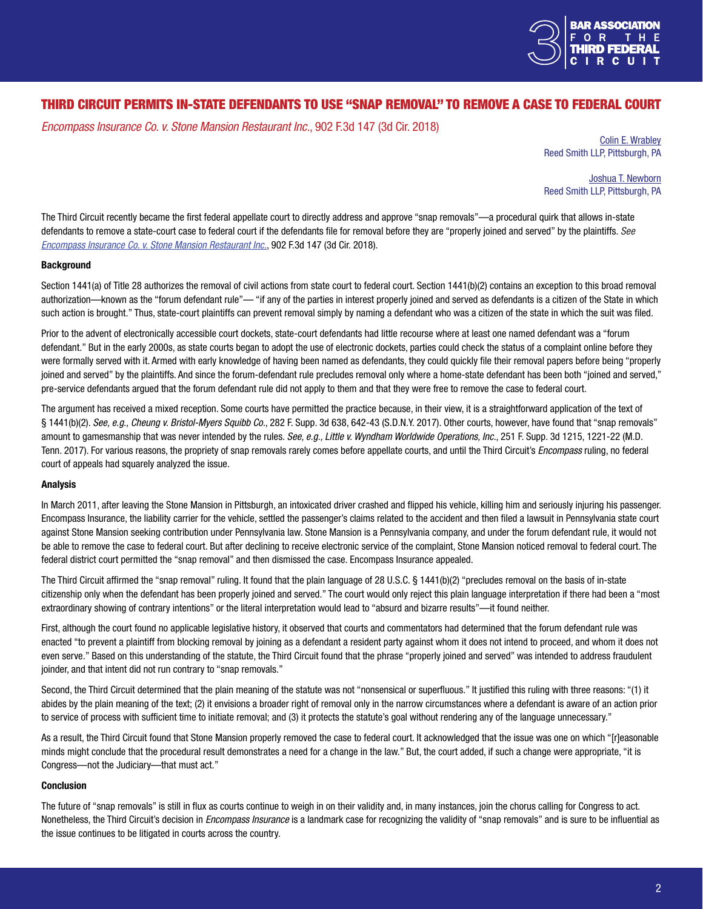

# THIRD CIRCUIT PERMITS IN-STATE DEFENDANTS TO USE "SNAP REMOVAL" TO REMOVE A CASE TO FEDERAL COURT

*Encompass Insurance Co. v. Stone Mansion Restaurant Inc.*, 902 F.3d 147 (3d Cir. 2018)

Colin E. [Wrabley](https://www.reedsmith.com/en/professionals/w/wrabley-colin-e) Reed Smith LLP, Pittsburgh, PA

Joshua T. [Newborn](https://www.reedsmith.com/en/professionals/n/newborn-joshua-t) Reed Smith LLP, Pittsburgh, PA

The Third Circuit recently became the first federal appellate court to directly address and approve "snap removals"—a procedural quirk that allows in-state defendants to remove a state-court case to federal court if the defendants file for removal before they are "properly joined and served" by the plaintiffs. *[See](http://www2.ca3.uscourts.gov/opinarch/171479p.pdf)  [Encompass Insurance Co. v. Stone Mansion Restaurant Inc.](http://www2.ca3.uscourts.gov/opinarch/171479p.pdf)*, 902 F.3d 147 (3d Cir. 2018).

## **Background**

Section 1441(a) of Title 28 authorizes the removal of civil actions from state court to federal court. Section 1441(b)(2) contains an exception to this broad removal authorization—known as the "forum defendant rule"— "if any of the parties in interest properly joined and served as defendants is a citizen of the State in which such action is brought." Thus, state-court plaintiffs can prevent removal simply by naming a defendant who was a citizen of the state in which the suit was filed.

Prior to the advent of electronically accessible court dockets, state-court defendants had little recourse where at least one named defendant was a "forum defendant." But in the early 2000s, as state courts began to adopt the use of electronic dockets, parties could check the status of a complaint online before they were formally served with it. Armed with early knowledge of having been named as defendants, they could quickly file their removal papers before being "properly joined and served" by the plaintiffs. And since the forum-defendant rule precludes removal only where a home-state defendant has been both "joined and served," pre-service defendants argued that the forum defendant rule did not apply to them and that they were free to remove the case to federal court.

The argument has received a mixed reception. Some courts have permitted the practice because, in their view, it is a straightforward application of the text of § 1441(b)(2). *See, e.g., Cheung v. Bristol-Myers Squibb Co.*, 282 F. Supp. 3d 638, 642-43 (S.D.N.Y. 2017). Other courts, however, have found that "snap removals" amount to gamesmanship that was never intended by the rules. *See, e.g., Little v. Wyndham Worldwide Operations, Inc.*, 251 F. Supp. 3d 1215, 1221-22 (M.D. Tenn. 2017). For various reasons, the propriety of snap removals rarely comes before appellate courts, and until the Third Circuit's *Encompass* ruling, no federal court of appeals had squarely analyzed the issue.

## Analysis

In March 2011, after leaving the Stone Mansion in Pittsburgh, an intoxicated driver crashed and flipped his vehicle, killing him and seriously injuring his passenger. Encompass Insurance, the liability carrier for the vehicle, settled the passenger's claims related to the accident and then filed a lawsuit in Pennsylvania state court against Stone Mansion seeking contribution under Pennsylvania law. Stone Mansion is a Pennsylvania company, and under the forum defendant rule, it would not be able to remove the case to federal court. But after declining to receive electronic service of the complaint, Stone Mansion noticed removal to federal court. The federal district court permitted the "snap removal" and then dismissed the case. Encompass Insurance appealed.

The Third Circuit affirmed the "snap removal" ruling. It found that the plain language of 28 U.S.C. § 1441(b)(2) "precludes removal on the basis of in-state citizenship only when the defendant has been properly joined and served." The court would only reject this plain language interpretation if there had been a "most extraordinary showing of contrary intentions" or the literal interpretation would lead to "absurd and bizarre results"—it found neither.

First, although the court found no applicable legislative history, it observed that courts and commentators had determined that the forum defendant rule was enacted "to prevent a plaintiff from blocking removal by joining as a defendant a resident party against whom it does not intend to proceed, and whom it does not even serve." Based on this understanding of the statute, the Third Circuit found that the phrase "properly joined and served" was intended to address fraudulent joinder, and that intent did not run contrary to "snap removals."

Second, the Third Circuit determined that the plain meaning of the statute was not "nonsensical or superfluous." It justified this ruling with three reasons: "(1) it abides by the plain meaning of the text; (2) it envisions a broader right of removal only in the narrow circumstances where a defendant is aware of an action prior to service of process with sufficient time to initiate removal; and (3) it protects the statute's goal without rendering any of the language unnecessary."

As a result, the Third Circuit found that Stone Mansion properly removed the case to federal court. It acknowledged that the issue was one on which "[r]easonable minds might conclude that the procedural result demonstrates a need for a change in the law." But, the court added, if such a change were appropriate, "it is Congress—not the Judiciary—that must act."

## Conclusion

The future of "snap removals" is still in flux as courts continue to weigh in on their validity and, in many instances, join the chorus calling for Congress to act. Nonetheless, the Third Circuit's decision in *Encompass Insurance* is a landmark case for recognizing the validity of "snap removals" and is sure to be influential as the issue continues to be litigated in courts across the country.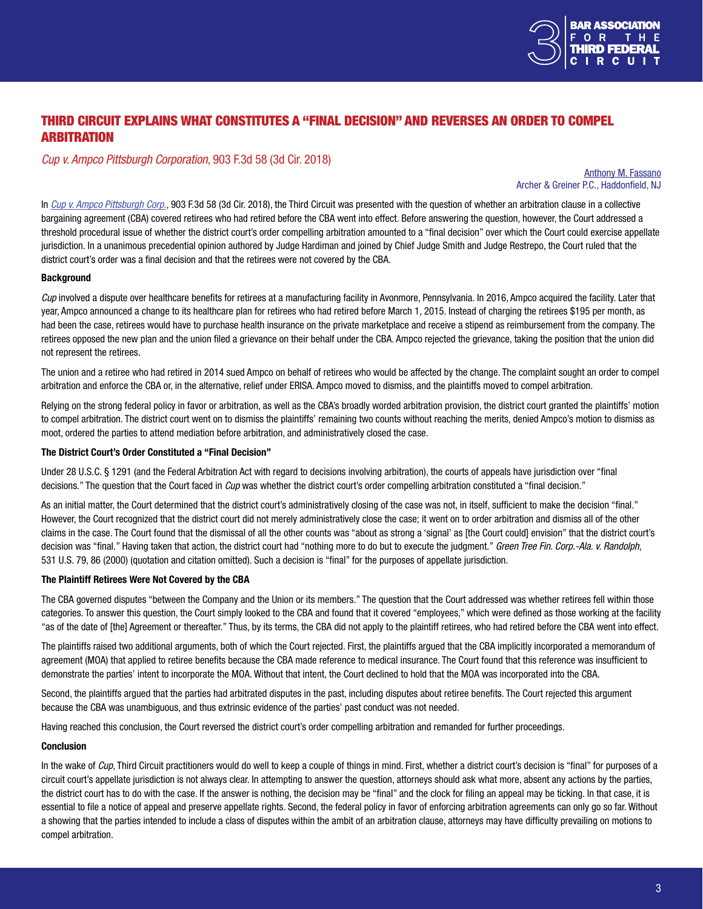

# THIRD CIRCUIT EXPLAINS WHAT CONSTITUTES A "FINAL DECISION" AND REVERSES AN ORDER TO COMPEL **ARBITRATION**

## *Cup v. Ampco Pittsburgh Corporation*, 903 F.3d 58 (3d Cir. 2018)

#### Anthony M. [Fassano](https://www.archerlaw.com/attorneys/anthony-m-fassano/) Archer & Greiner P.C., Haddonfield, NJ

In *[Cup v. Ampco Pittsburgh Corp.](http://www2.ca3.uscourts.gov/opinarch/172349p.pdf)*, 903 F.3d 58 (3d Cir. 2018), the Third Circuit was presented with the question of whether an arbitration clause in a collective bargaining agreement (CBA) covered retirees who had retired before the CBA went into effect. Before answering the question, however, the Court addressed a threshold procedural issue of whether the district court's order compelling arbitration amounted to a "final decision" over which the Court could exercise appellate jurisdiction. In a unanimous precedential opinion authored by Judge Hardiman and joined by Chief Judge Smith and Judge Restrepo, the Court ruled that the district court's order was a final decision and that the retirees were not covered by the CBA.

## **Background**

*Cup* involved a dispute over healthcare benefits for retirees at a manufacturing facility in Avonmore, Pennsylvania. In 2016, Ampco acquired the facility. Later that year, Ampco announced a change to its healthcare plan for retirees who had retired before March 1, 2015. Instead of charging the retirees \$195 per month, as had been the case, retirees would have to purchase health insurance on the private marketplace and receive a stipend as reimbursement from the company. The retirees opposed the new plan and the union filed a grievance on their behalf under the CBA. Ampco rejected the grievance, taking the position that the union did not represent the retirees.

The union and a retiree who had retired in 2014 sued Ampco on behalf of retirees who would be affected by the change. The complaint sought an order to compel arbitration and enforce the CBA or, in the alternative, relief under ERISA. Ampco moved to dismiss, and the plaintiffs moved to compel arbitration.

Relying on the strong federal policy in favor or arbitration, as well as the CBA's broadly worded arbitration provision, the district court granted the plaintiffs' motion to compel arbitration. The district court went on to dismiss the plaintiffs' remaining two counts without reaching the merits, denied Ampco's motion to dismiss as moot, ordered the parties to attend mediation before arbitration, and administratively closed the case.

## The District Court's Order Constituted a "Final Decision"

Under 28 U.S.C. § 1291 (and the Federal Arbitration Act with regard to decisions involving arbitration), the courts of appeals have jurisdiction over "final decisions." The question that the Court faced in *Cup* was whether the district court's order compelling arbitration constituted a "final decision."

As an initial matter, the Court determined that the district court's administratively closing of the case was not, in itself, sufficient to make the decision "final." However, the Court recognized that the district court did not merely administratively close the case; it went on to order arbitration and dismiss all of the other claims in the case. The Court found that the dismissal of all the other counts was "about as strong a 'signal' as [the Court could] envision" that the district court's decision was "final." Having taken that action, the district court had "nothing more to do but to execute the judgment." *Green Tree Fin. Corp.-Ala. v. Randolph*, 531 U.S. 79, 86 (2000) (quotation and citation omitted). Such a decision is "final" for the purposes of appellate jurisdiction.

## The Plaintiff Retirees Were Not Covered by the CBA

The CBA governed disputes "between the Company and the Union or its members." The question that the Court addressed was whether retirees fell within those categories. To answer this question, the Court simply looked to the CBA and found that it covered "employees," which were defined as those working at the facility "as of the date of [the] Agreement or thereafter." Thus, by its terms, the CBA did not apply to the plaintiff retirees, who had retired before the CBA went into effect.

The plaintiffs raised two additional arguments, both of which the Court rejected. First, the plaintiffs argued that the CBA implicitly incorporated a memorandum of agreement (MOA) that applied to retiree benefits because the CBA made reference to medical insurance. The Court found that this reference was insufficient to demonstrate the parties' intent to incorporate the MOA. Without that intent, the Court declined to hold that the MOA was incorporated into the CBA.

Second, the plaintiffs argued that the parties had arbitrated disputes in the past, including disputes about retiree benefits. The Court rejected this argument because the CBA was unambiguous, and thus extrinsic evidence of the parties' past conduct was not needed.

Having reached this conclusion, the Court reversed the district court's order compelling arbitration and remanded for further proceedings.

## Conclusion

In the wake of *Cup*, Third Circuit practitioners would do well to keep a couple of things in mind. First, whether a district court's decision is "final" for purposes of a circuit court's appellate jurisdiction is not always clear. In attempting to answer the question, attorneys should ask what more, absent any actions by the parties, the district court has to do with the case. If the answer is nothing, the decision may be "final" and the clock for filing an appeal may be ticking. In that case, it is essential to file a notice of appeal and preserve appellate rights. Second, the federal policy in favor of enforcing arbitration agreements can only go so far. Without a showing that the parties intended to include a class of disputes within the ambit of an arbitration clause, attorneys may have difficulty prevailing on motions to compel arbitration.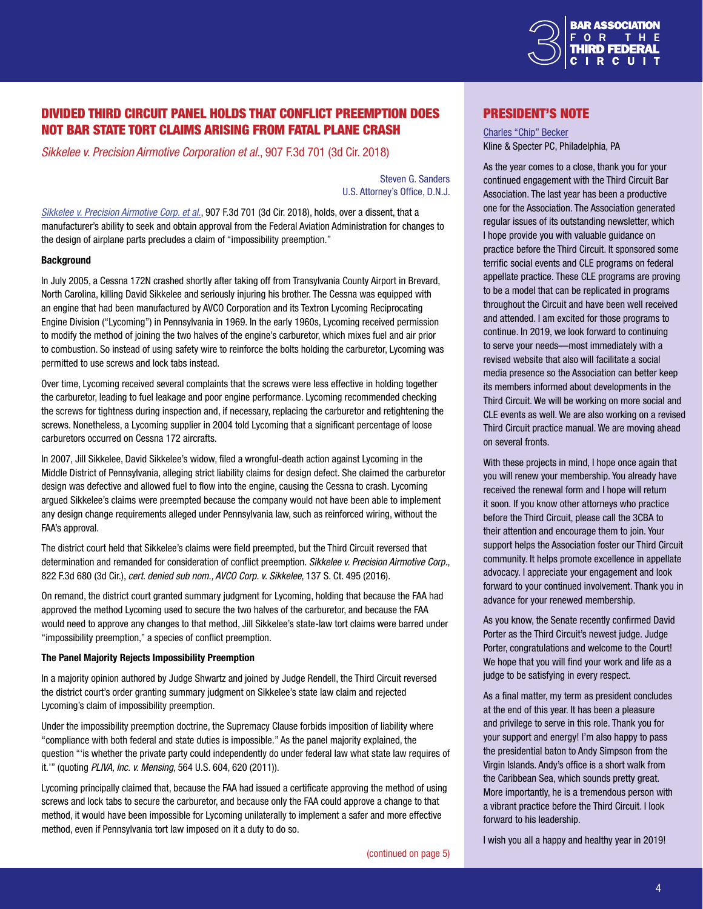

# DIVIDED THIRD CIRCUIT PANEL HOLDS THAT CONFLICT PREEMPTION DOES NOT BAR STATE TORT CLAIMS ARISING FROM FATAL PLANE CRASH

*Sikkelee v. Precision Airmotive Corporation et al.*, 907 F.3d 701 (3d Cir. 2018)

Steven G. Sanders U.S. Attorney's Office, D.N.J.

*[Sikkelee v. Precision Airmotive Corp. et al.](http://www2.ca3.uscourts.gov/opinarch/173006p.pdf)*, 907 F.3d 701 (3d Cir. 2018), holds, over a dissent, that a manufacturer's ability to seek and obtain approval from the Federal Aviation Administration for changes to the design of airplane parts precludes a claim of "impossibility preemption."

#### **Background**

In July 2005, a Cessna 172N crashed shortly after taking off from Transylvania County Airport in Brevard, North Carolina, killing David Sikkelee and seriously injuring his brother. The Cessna was equipped with an engine that had been manufactured by AVCO Corporation and its Textron Lycoming Reciprocating Engine Division ("Lycoming") in Pennsylvania in 1969. In the early 1960s, Lycoming received permission to modify the method of joining the two halves of the engine's carburetor, which mixes fuel and air prior to combustion. So instead of using safety wire to reinforce the bolts holding the carburetor, Lycoming was permitted to use screws and lock tabs instead.

Over time, Lycoming received several complaints that the screws were less effective in holding together the carburetor, leading to fuel leakage and poor engine performance. Lycoming recommended checking the screws for tightness during inspection and, if necessary, replacing the carburetor and retightening the screws. Nonetheless, a Lycoming supplier in 2004 told Lycoming that a significant percentage of loose carburetors occurred on Cessna 172 aircrafts.

In 2007, Jill Sikkelee, David Sikkelee's widow, filed a wrongful-death action against Lycoming in the Middle District of Pennsylvania, alleging strict liability claims for design defect. She claimed the carburetor design was defective and allowed fuel to flow into the engine, causing the Cessna to crash. Lycoming argued Sikkelee's claims were preempted because the company would not have been able to implement any design change requirements alleged under Pennsylvania law, such as reinforced wiring, without the FAA's approval.

The district court held that Sikkelee's claims were field preempted, but the Third Circuit reversed that determination and remanded for consideration of conflict preemption. *Sikkelee v. Precision Airmotive Corp.*, 822 F.3d 680 (3d Cir.), *cert. denied sub nom., AVCO Corp. v. Sikkelee*, 137 S. Ct. 495 (2016).

On remand, the district court granted summary judgment for Lycoming, holding that because the FAA had approved the method Lycoming used to secure the two halves of the carburetor, and because the FAA would need to approve any changes to that method, Jill Sikkelee's state-law tort claims were barred under "impossibility preemption," a species of conflict preemption.

#### The Panel Majority Rejects Impossibility Preemption

In a majority opinion authored by Judge Shwartz and joined by Judge Rendell, the Third Circuit reversed the district court's order granting summary judgment on Sikkelee's state law claim and rejected Lycoming's claim of impossibility preemption.

Under the impossibility preemption doctrine, the Supremacy Clause forbids imposition of liability where "compliance with both federal and state duties is impossible." As the panel majority explained, the question "'is whether the private party could independently do under federal law what state law requires of it.'" (quoting *PLIVA, Inc. v. Mensing*, 564 U.S. 604, 620 (2011)).

Lycoming principally claimed that, because the FAA had issued a certificate approving the method of using screws and lock tabs to secure the carburetor, and because only the FAA could approve a change to that method, it would have been impossible for Lycoming unilaterally to implement a safer and more effective method, even if Pennsylvania tort law imposed on it a duty to do so.

President's Note

[Charles](http://www.klinespecter.com/lawyers_becker.html) "Chip" Becker Kline & Specter PC, Philadelphia, PA

As the year comes to a close, thank you for your continued engagement with the Third Circuit Bar Association. The last year has been a productive one for the Association. The Association generated regular issues of its outstanding newsletter, which I hope provide you with valuable guidance on practice before the Third Circuit. It sponsored some terrific social events and CLE programs on federal appellate practice. These CLE programs are proving to be a model that can be replicated in programs throughout the Circuit and have been well received and attended. I am excited for those programs to continue. In 2019, we look forward to continuing to serve your needs—most immediately with a revised website that also will facilitate a social media presence so the Association can better keep its members informed about developments in the Third Circuit. We will be working on more social and CLE events as well. We are also working on a revised Third Circuit practice manual. We are moving ahead on several fronts.

With these projects in mind, I hope once again that you will renew your membership. You already have received the renewal form and I hope will return it soon. If you know other attorneys who practice before the Third Circuit, please call the 3CBA to their attention and encourage them to join. Your support helps the Association foster our Third Circuit community. It helps promote excellence in appellate advocacy. I appreciate your engagement and look forward to your continued involvement. Thank you in advance for your renewed membership.

As you know, the Senate recently confirmed David Porter as the Third Circuit's newest judge. Judge Porter, congratulations and welcome to the Court! We hope that you will find your work and life as a judge to be satisfying in every respect.

As a final matter, my term as president concludes at the end of this year. It has been a pleasure and privilege to serve in this role. Thank you for your support and energy! I'm also happy to pass the presidential baton to Andy Simpson from the Virgin Islands. Andy's office is a short walk from the Caribbean Sea, which sounds pretty great. More importantly, he is a tremendous person with a vibrant practice before the Third Circuit. I look forward to his leadership.

([continued](#page-4-0) on page 5)

I wish you all a happy and healthy year in 2019!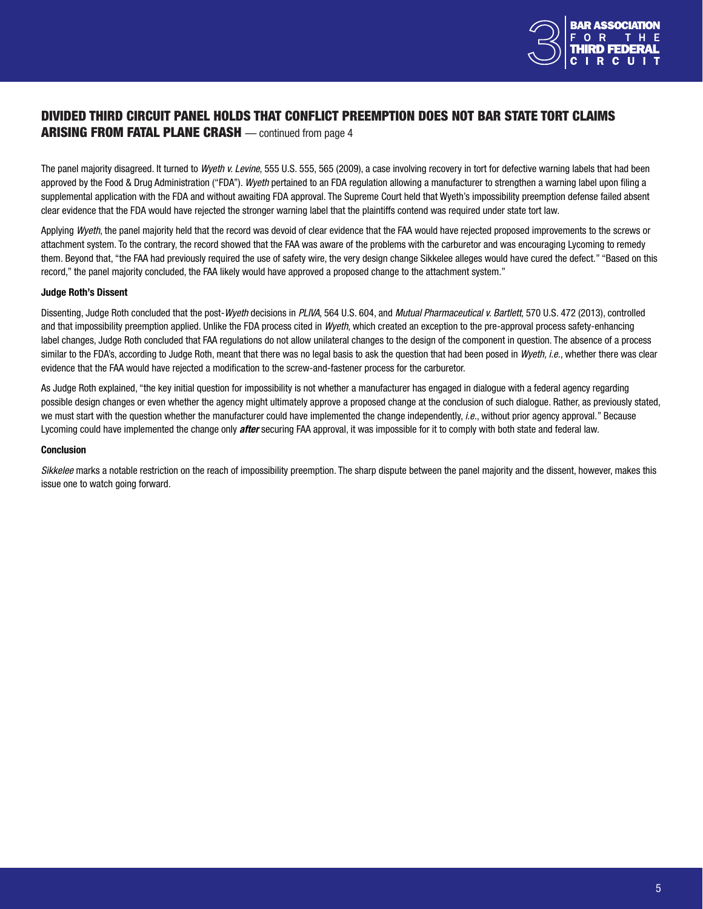

## <span id="page-4-0"></span>DIVIDED THIRD CIRCUIT PANEL HOLDS THAT CONFLICT PREEMPTION DOES NOT BAR STATE TORT CLAIMS ARISING FROM FATAL PLANE CRASH — continued from page 4

The panel majority disagreed. It turned to *Wyeth v. Levine*, 555 U.S. 555, 565 (2009), a case involving recovery in tort for defective warning labels that had been approved by the Food & Drug Administration ("FDA"). *Wyeth* pertained to an FDA regulation allowing a manufacturer to strengthen a warning label upon filing a supplemental application with the FDA and without awaiting FDA approval. The Supreme Court held that Wyeth's impossibility preemption defense failed absent clear evidence that the FDA would have rejected the stronger warning label that the plaintiffs contend was required under state tort law.

Applying *Wyeth*, the panel majority held that the record was devoid of clear evidence that the FAA would have rejected proposed improvements to the screws or attachment system. To the contrary, the record showed that the FAA was aware of the problems with the carburetor and was encouraging Lycoming to remedy them. Beyond that, "the FAA had previously required the use of safety wire, the very design change Sikkelee alleges would have cured the defect." "Based on this record," the panel majority concluded, the FAA likely would have approved a proposed change to the attachment system."

## Judge Roth's Dissent

Dissenting, Judge Roth concluded that the post-*Wyeth* decisions in *PLIVA*, 564 U.S. 604, and *Mutual Pharmaceutical v. Bartlett*, 570 U.S. 472 (2013), controlled and that impossibility preemption applied. Unlike the FDA process cited in *Wyeth*, which created an exception to the pre-approval process safety-enhancing label changes, Judge Roth concluded that FAA regulations do not allow unilateral changes to the design of the component in question. The absence of a process similar to the FDA's, according to Judge Roth, meant that there was no legal basis to ask the question that had been posed in *Wyeth, i.e.*, whether there was clear evidence that the FAA would have rejected a modification to the screw-and-fastener process for the carburetor.

As Judge Roth explained, "the key initial question for impossibility is not whether a manufacturer has engaged in dialogue with a federal agency regarding possible design changes or even whether the agency might ultimately approve a proposed change at the conclusion of such dialogue. Rather, as previously stated, we must start with the question whether the manufacturer could have implemented the change independently, *i.e.*, without prior agency approval." Because Lycoming could have implemented the change only *after* securing FAA approval, it was impossible for it to comply with both state and federal law.

#### Conclusion

*Sikkelee* marks a notable restriction on the reach of impossibility preemption. The sharp dispute between the panel majority and the dissent, however, makes this issue one to watch going forward.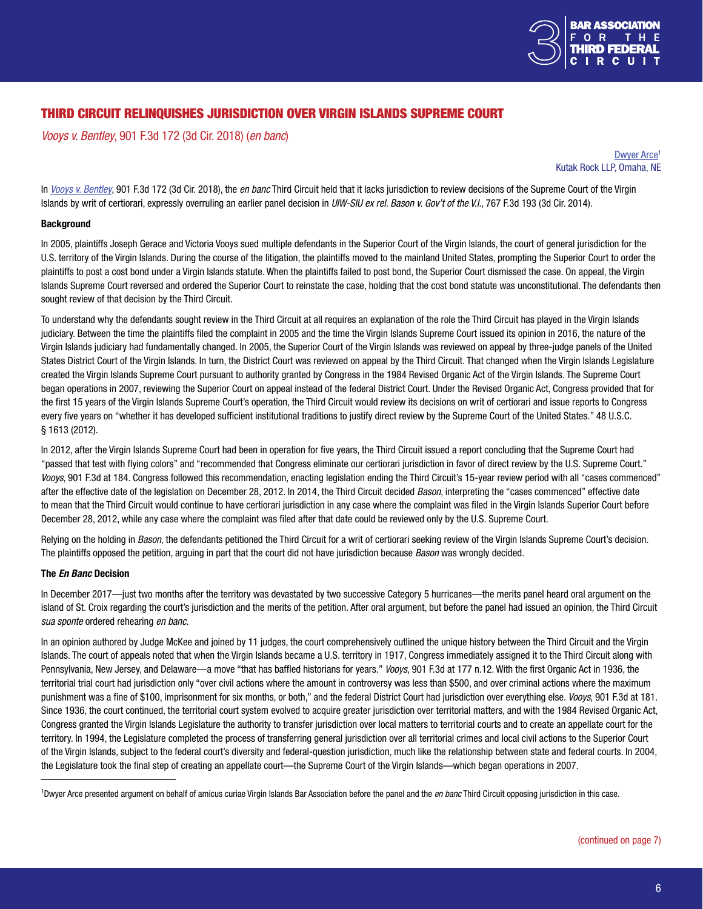

# THIRD CIRCUIT RELINQUISHES JURISDICTION OVER VIRGIN ISLANDS SUPREME COURT

*Vooys v. Bentley*, 901 F.3d 172 (3d Cir. 2018) (*en banc*)

[Dwyer](http://www.kutakrock.com/attorneys/uniEntity.aspx?xpST=ProfessionalDetail&professional=3445&op=news&ajax=no) Arce<sup>1</sup> Kutak Rock LLP, Omaha, NE

In *[Vooys v. Bentley](http://www2.ca3.uscourts.gov/opinarch/163912p2.pdf)*, 901 F.3d 172 (3d Cir. 2018), the *en banc* Third Circuit held that it lacks jurisdiction to review decisions of the Supreme Court of the Virgin Islands by writ of certiorari, expressly overruling an earlier panel decision in *UIW-SIU ex rel. Bason v. Gov't of the V.I.*, 767 F.3d 193 (3d Cir. 2014).

#### **Background**

In 2005, plaintiffs Joseph Gerace and Victoria Vooys sued multiple defendants in the Superior Court of the Virgin Islands, the court of general jurisdiction for the U.S. territory of the Virgin Islands. During the course of the litigation, the plaintiffs moved to the mainland United States, prompting the Superior Court to order the plaintiffs to post a cost bond under a Virgin Islands statute. When the plaintiffs failed to post bond, the Superior Court dismissed the case. On appeal, the Virgin Islands Supreme Court reversed and ordered the Superior Court to reinstate the case, holding that the cost bond statute was unconstitutional. The defendants then sought review of that decision by the Third Circuit.

To understand why the defendants sought review in the Third Circuit at all requires an explanation of the role the Third Circuit has played in the Virgin Islands judiciary. Between the time the plaintiffs filed the complaint in 2005 and the time the Virgin Islands Supreme Court issued its opinion in 2016, the nature of the Virgin Islands judiciary had fundamentally changed. In 2005, the Superior Court of the Virgin Islands was reviewed on appeal by three-judge panels of the United States District Court of the Virgin Islands. In turn, the District Court was reviewed on appeal by the Third Circuit. That changed when the Virgin Islands Legislature created the Virgin Islands Supreme Court pursuant to authority granted by Congress in the 1984 Revised Organic Act of the Virgin Islands. The Supreme Court began operations in 2007, reviewing the Superior Court on appeal instead of the federal District Court. Under the Revised Organic Act, Congress provided that for the first 15 years of the Virgin Islands Supreme Court's operation, the Third Circuit would review its decisions on writ of certiorari and issue reports to Congress every five years on "whether it has developed sufficient institutional traditions to justify direct review by the Supreme Court of the United States." 48 U.S.C. § 1613 (2012).

In 2012, after the Virgin Islands Supreme Court had been in operation for five years, the Third Circuit issued a report concluding that the Supreme Court had "passed that test with flying colors" and "recommended that Congress eliminate our certiorari jurisdiction in favor of direct review by the U.S. Supreme Court." *Vooys*, 901 F.3d at 184. Congress followed this recommendation, enacting legislation ending the Third Circuit's 15-year review period with all "cases commenced" after the effective date of the legislation on December 28, 2012. In 2014, the Third Circuit decided *Bason*, interpreting the "cases commenced" effective date to mean that the Third Circuit would continue to have certiorari jurisdiction in any case where the complaint was filed in the Virgin Islands Superior Court before December 28, 2012, while any case where the complaint was filed after that date could be reviewed only by the U.S. Supreme Court.

Relying on the holding in *Bason*, the defendants petitioned the Third Circuit for a writ of certiorari seeking review of the Virgin Islands Supreme Court's decision. The plaintiffs opposed the petition, arguing in part that the court did not have jurisdiction because *Bason* was wrongly decided.

#### The *En Banc* Decision

In December 2017—just two months after the territory was devastated by two successive Category 5 hurricanes—the merits panel heard oral argument on the island of St. Croix regarding the court's jurisdiction and the merits of the petition. After oral argument, but before the panel had issued an opinion, the Third Circuit *sua sponte* ordered rehearing *en banc*.

In an opinion authored by Judge McKee and joined by 11 judges, the court comprehensively outlined the unique history between the Third Circuit and the Virgin Islands. The court of appeals noted that when the Virgin Islands became a U.S. territory in 1917, Congress immediately assigned it to the Third Circuit along with Pennsylvania, New Jersey, and Delaware—a move "that has baffled historians for years." *Vooys*, 901 F.3d at 177 n.12. With the first Organic Act in 1936, the territorial trial court had jurisdiction only "over civil actions where the amount in controversy was less than \$500, and over criminal actions where the maximum punishment was a fine of \$100, imprisonment for six months, or both," and the federal District Court had jurisdiction over everything else. *Vooys*, 901 F.3d at 181. Since 1936, the court continued, the territorial court system evolved to acquire greater jurisdiction over territorial matters, and with the 1984 Revised Organic Act, Congress granted the Virgin Islands Legislature the authority to transfer jurisdiction over local matters to territorial courts and to create an appellate court for the territory. In 1994, the Legislature completed the process of transferring general jurisdiction over all territorial crimes and local civil actions to the Superior Court of the Virgin Islands, subject to the federal court's diversity and federal-question jurisdiction, much like the relationship between state and federal courts. In 2004, the Legislature took the final step of creating an appellate court—the Supreme Court of the Virgin Islands—which began operations in 2007.

<sup>&</sup>lt;sup>1</sup>Dwyer Arce presented argument on behalf of amicus curiae Virgin Islands Bar Association before the panel and the en banc Third Circuit opposing jurisdiction in this case.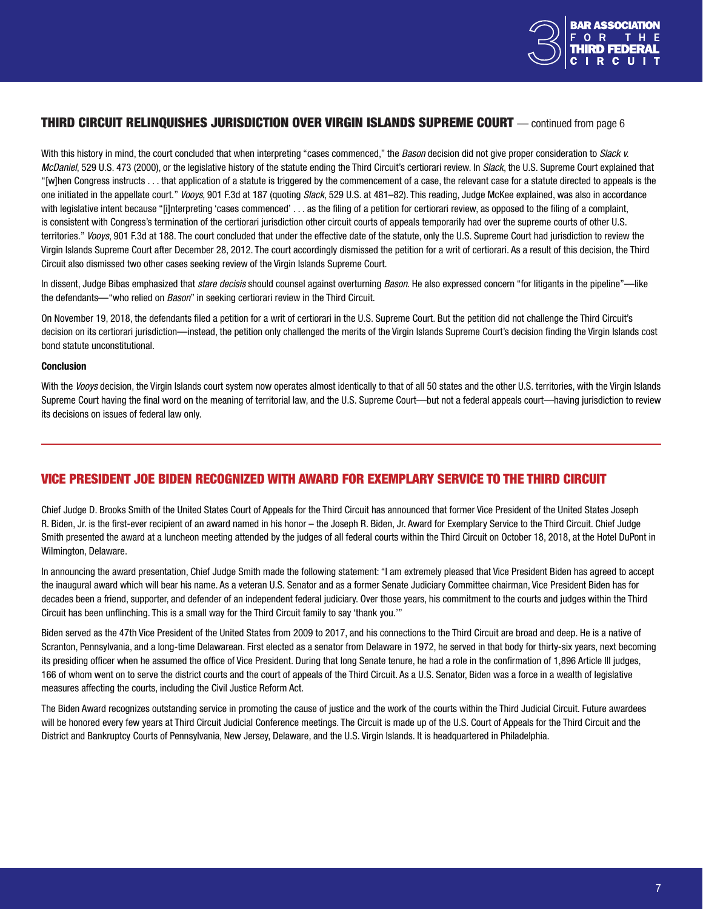

## THIRD CIRCUIT RELINQUISHES JURISDICTION OVER VIRGIN ISLANDS SUPREME COURT — continued from page 6

With this history in mind, the court concluded that when interpreting "cases commenced," the *Bason* decision did not give proper consideration to *Slack v. McDaniel*, 529 U.S. 473 (2000), or the legislative history of the statute ending the Third Circuit's certiorari review. In *Slack*, the U.S. Supreme Court explained that "[w]hen Congress instructs . . . that application of a statute is triggered by the commencement of a case, the relevant case for a statute directed to appeals is the one initiated in the appellate court." *Vooys*, 901 F.3d at 187 (quoting *Slack*, 529 U.S. at 481–82). This reading, Judge McKee explained, was also in accordance with legislative intent because "[i]nterpreting 'cases commenced' . . . as the filing of a petition for certiorari review, as opposed to the filing of a complaint, is consistent with Congress's termination of the certiorari jurisdiction other circuit courts of appeals temporarily had over the supreme courts of other U.S. territories." *Vooys*, 901 F.3d at 188. The court concluded that under the effective date of the statute, only the U.S. Supreme Court had jurisdiction to review the Virgin Islands Supreme Court after December 28, 2012. The court accordingly dismissed the petition for a writ of certiorari. As a result of this decision, the Third Circuit also dismissed two other cases seeking review of the Virgin Islands Supreme Court.

In dissent, Judge Bibas emphasized that *stare decisis* should counsel against overturning *Bason*. He also expressed concern "for litigants in the pipeline"—like the defendants—"who relied on *Bason*" in seeking certiorari review in the Third Circuit.

On November 19, 2018, the defendants filed a petition for a writ of certiorari in the U.S. Supreme Court. But the petition did not challenge the Third Circuit's decision on its certiorari jurisdiction—instead, the petition only challenged the merits of the Virgin Islands Supreme Court's decision finding the Virgin Islands cost bond statute unconstitutional.

#### **Conclusion**

With the *Vooys* decision, the Virgin Islands court system now operates almost identically to that of all 50 states and the other U.S. territories, with the Virgin Islands Supreme Court having the final word on the meaning of territorial law, and the U.S. Supreme Court—but not a federal appeals court—having jurisdiction to review its decisions on issues of federal law only.

## VICE PRESIDENT JOE BIDEN RECOGNIZED WITH AWARD FOR EXEMPLARY SERVICE TO THE THIRD CIRCUIT

Chief Judge D. Brooks Smith of the United States Court of Appeals for the Third Circuit has announced that former Vice President of the United States Joseph R. Biden, Jr. is the first-ever recipient of an award named in his honor – the Joseph R. Biden, Jr. Award for Exemplary Service to the Third Circuit. Chief Judge Smith presented the award at a luncheon meeting attended by the judges of all federal courts within the Third Circuit on October 18, 2018, at the Hotel DuPont in Wilmington, Delaware.

In announcing the award presentation, Chief Judge Smith made the following statement: "I am extremely pleased that Vice President Biden has agreed to accept the inaugural award which will bear his name. As a veteran U.S. Senator and as a former Senate Judiciary Committee chairman, Vice President Biden has for decades been a friend, supporter, and defender of an independent federal judiciary. Over those years, his commitment to the courts and judges within the Third Circuit has been unflinching. This is a small way for the Third Circuit family to say 'thank you.'"

Biden served as the 47th Vice President of the United States from 2009 to 2017, and his connections to the Third Circuit are broad and deep. He is a native of Scranton, Pennsylvania, and a long-time Delawarean. First elected as a senator from Delaware in 1972, he served in that body for thirty-six years, next becoming its presiding officer when he assumed the office of Vice President. During that long Senate tenure, he had a role in the confirmation of 1,896 Article III judges, 166 of whom went on to serve the district courts and the court of appeals of the Third Circuit. As a U.S. Senator, Biden was a force in a wealth of legislative measures affecting the courts, including the Civil Justice Reform Act.

The Biden Award recognizes outstanding service in promoting the cause of justice and the work of the courts within the Third Judicial Circuit. Future awardees will be honored every few years at Third Circuit Judicial Conference meetings. The Circuit is made up of the U.S. Court of Appeals for the Third Circuit and the District and Bankruptcy Courts of Pennsylvania, New Jersey, Delaware, and the U.S. Virgin Islands. It is headquartered in Philadelphia.